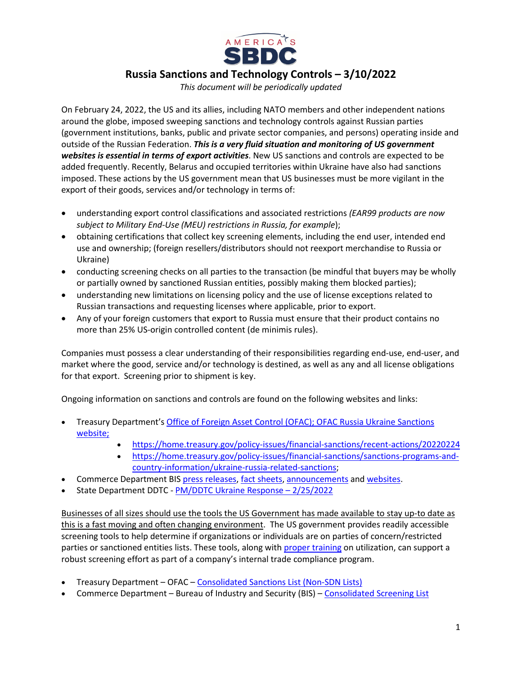

**Russia Sanctions and Technology Controls – 3/10/2022**

*This document will be periodically updated*

On February 24, 2022, the US and its allies, including NATO members and other independent nations around the globe, imposed sweeping sanctions and technology controls against Russian parties (government institutions, banks, public and private sector companies, and persons) operating inside and outside of the Russian Federation. *This is a very fluid situation and monitoring of US government websites is essential in terms of export activities*. New US sanctions and controls are expected to be added frequently. Recently, Belarus and occupied territories within Ukraine have also had sanctions imposed. These actions by the US government mean that US businesses must be more vigilant in the export of their goods, services and/or technology in terms of:

- understanding export control classifications and associated restrictions *(EAR99 products are now subject to Military End-Use (MEU) restrictions in Russia, for example*);
- obtaining certifications that collect key screening elements, including the end user, intended end use and ownership; (foreign resellers/distributors should not reexport merchandise to Russia or Ukraine)
- conducting screening checks on all parties to the transaction (be mindful that buyers may be wholly or partially owned by sanctioned Russian entities, possibly making them blocked parties);
- understanding new limitations on licensing policy and the use of license exceptions related to Russian transactions and requesting licenses where applicable, prior to export.
- Any of your foreign customers that export to Russia must ensure that their product contains no more than 25% US-origin controlled content (de minimis rules).

Companies must possess a clear understanding of their responsibilities regarding end-use, end-user, and market where the good, service and/or technology is destined, as well as any and all license obligations for that export. Screening prior to shipment is key.

Ongoing information on sanctions and controls are found on the following websites and links:

- Treasury Department'[s Office of Foreign Asset Control \(OFAC\);](https://home.treasury.gov/policy-issues/office-of-foreign-assets-control-sanctions-programs-and-information) [OFAC Russia Ukraine Sanctions](https://home.treasury.gov/policy-issues/financial-sanctions/sanctions-programs-and-country-information/ukraine-russia-related-sanctions)  [website;](https://home.treasury.gov/policy-issues/financial-sanctions/sanctions-programs-and-country-information/ukraine-russia-related-sanctions)
	- <https://home.treasury.gov/policy-issues/financial-sanctions/recent-actions/20220224>
	- [https://home.treasury.gov/policy-issues/financial-sanctions/sanctions-programs-and](https://home.treasury.gov/policy-issues/financial-sanctions/sanctions-programs-and-country-information/ukraine-russia-related-sanctions)[country-information/ukraine-russia-related-sanctions;](https://home.treasury.gov/policy-issues/financial-sanctions/sanctions-programs-and-country-information/ukraine-russia-related-sanctions)
- Commerce Department BI[S press releases,](https://www.bis.doc.gov/index.php/about-bis/newsroom/press-releases) [fact sheets,](https://www.commerce.gov/news/fact-sheets) [announcements](https://bis.doc.gov/index.php/documents/regulations-docs/federal-register-notices/federal-register-2022/2915-public-display-version-of-new-export-control-measures-on-russia-final-rule-on-public-display-and-effective-2-24-22-scheduled-to-publish-3-3-22/file) an[d websites.](https://bis.doc.gov/)
- State Department DDTC [PM/DDTC Ukraine Response –](https://www.pmddtc.state.gov/ddtc_public?id=ddtc_public_portal_news_and_events) 2/25/2022

Businesses of all sizes should use the tools the US Government has made available to stay up-to date as this is a fast moving and often changing environment. The US government provides readily accessible screening tools to help determine if organizations or individuals are on parties of concern/restricted parties or sanctioned entities lists. These tools, along with [proper training](https://www.msbdc.org/export/webinars/best_practicesCSL/CSL_recording.mp4) on utilization, can support a robust screening effort as part of a company's internal trade compliance program.

- Treasury Department OFAC [Consolidated Sanctions List](https://home.treasury.gov/policy-issues/financial-sanctions/consolidated-sanctions-list-non-sdn-lists) (Non-SDN Lists)
- Commerce Department Bureau of Industry and Security (BIS) Consolidated [Screening List](https://www.trade.gov/consolidated-screening-list)